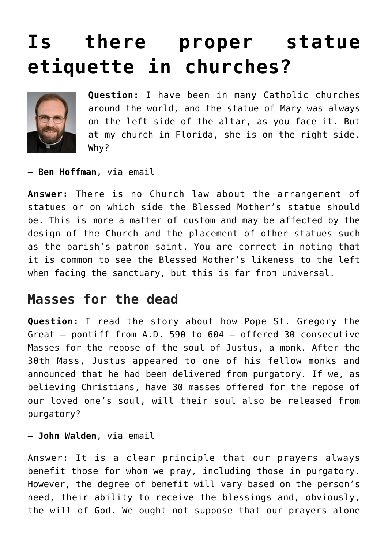## **[Is there proper statue](https://www.osvnews.com/2021/12/07/is-there-proper-statue-etiquette-in-churches/) [etiquette in churches?](https://www.osvnews.com/2021/12/07/is-there-proper-statue-etiquette-in-churches/)**



**Question:** I have been in many Catholic churches around the world, and the statue of Mary was always on the left side of the altar, as you face it. But at my church in Florida, she is on the right side. Why?

— **Ben Hoffman**, via email

**Answer:** There is no Church law about the arrangement of statues or on which side the Blessed Mother's statue should be. This is more a matter of custom and may be affected by the design of the Church and the placement of other statues such as the parish's patron saint. You are correct in noting that it is common to see the Blessed Mother's likeness to the left when facing the sanctuary, but this is far from universal.

## **Masses for the dead**

**Question:** I read the story about how Pope St. Gregory the Great — pontiff from A.D. 590 to 604 — offered 30 consecutive Masses for the repose of the soul of Justus, a monk. After the 30th Mass, Justus appeared to one of his fellow monks and announced that he had been delivered from purgatory. If we, as believing Christians, have 30 masses offered for the repose of our loved one's soul, will their soul also be released from purgatory?

— **John Walden**, via email

Answer: It is a clear principle that our prayers always benefit those for whom we pray, including those in purgatory. However, the degree of benefit will vary based on the person's need, their ability to receive the blessings and, obviously, the will of God. We ought not suppose that our prayers alone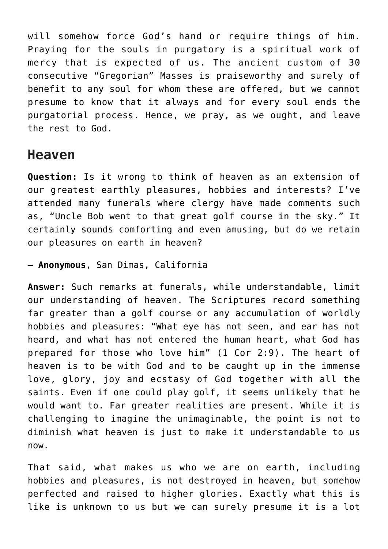will somehow force God's hand or require things of him. Praying for the souls in purgatory is a spiritual work of mercy that is expected of us. The ancient custom of 30 consecutive "Gregorian" Masses is praiseworthy and surely of benefit to any soul for whom these are offered, but we cannot presume to know that it always and for every soul ends the purgatorial process. Hence, we pray, as we ought, and leave the rest to God.

## **Heaven**

**Question:** Is it wrong to think of heaven as an extension of our greatest earthly pleasures, hobbies and interests? I've attended many funerals where clergy have made comments such as, "Uncle Bob went to that great golf course in the sky." It certainly sounds comforting and even amusing, but do we retain our pleasures on earth in heaven?

— **Anonymous**, San Dimas, California

**Answer:** Such remarks at funerals, while understandable, limit our understanding of heaven. The Scriptures record something far greater than a golf course or any accumulation of worldly hobbies and pleasures: "What eye has not seen, and ear has not heard, and what has not entered the human heart, what God has prepared for those who love him" (1 Cor 2:9). The heart of heaven is to be with God and to be caught up in the immense love, glory, joy and ecstasy of God together with all the saints. Even if one could play golf, it seems unlikely that he would want to. Far greater realities are present. While it is challenging to imagine the unimaginable, the point is not to diminish what heaven is just to make it understandable to us now.

That said, what makes us who we are on earth, including hobbies and pleasures, is not destroyed in heaven, but somehow perfected and raised to higher glories. Exactly what this is like is unknown to us but we can surely presume it is a lot